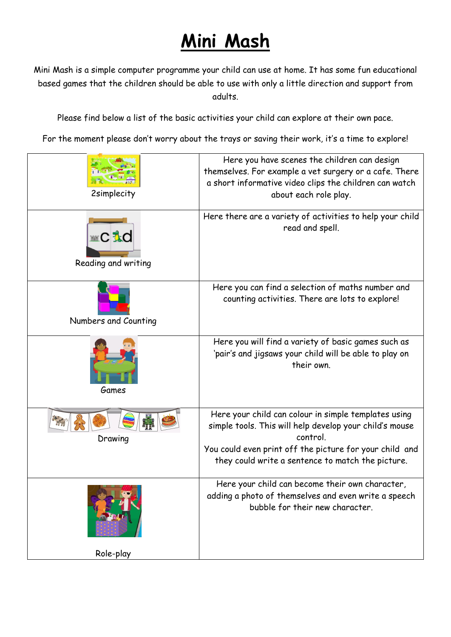## **Mini Mash**

Mini Mash is a simple computer programme your child can use at home. It has some fun educational based games that the children should be able to use with only a little direction and support from adults.

Please find below a list of the basic activities your child can explore at their own pace.

For the moment please don't worry about the trays or saving their work, it's a time to explore!

| <b>2simplecity</b>                  | Here you have scenes the children can design<br>themselves. For example a vet surgery or a cafe. There<br>a short informative video clips the children can watch<br>about each role play.                                                   |
|-------------------------------------|---------------------------------------------------------------------------------------------------------------------------------------------------------------------------------------------------------------------------------------------|
| <b>■C えd</b><br>Reading and writing | Here there are a variety of activities to help your child<br>read and spell.                                                                                                                                                                |
| Numbers and Counting                | Here you can find a selection of maths number and<br>counting activities. There are lots to explore!                                                                                                                                        |
| Games                               | Here you will find a variety of basic games such as<br>'pair's and jigsaws your child will be able to play on<br>their own.                                                                                                                 |
| Drawing                             | Here your child can colour in simple templates using<br>simple tools. This will help develop your child's mouse<br>control.<br>You could even print off the picture for your child and<br>they could write a sentence to match the picture. |
|                                     | Here your child can become their own character,<br>adding a photo of themselves and even write a speech<br>bubble for their new character.                                                                                                  |
| Role-play                           |                                                                                                                                                                                                                                             |